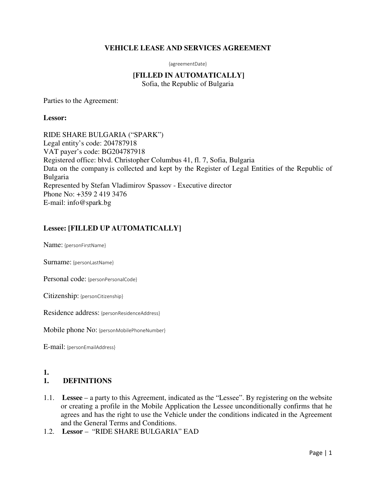### **VEHICLE LEASE AND SERVICES AGREEMENT**

{agreementDate}

# **[FILLED IN AUTOMATICALLY]**

Sofia, the Republic of Bulgaria

Parties to the Agreement:

#### **Lessor:**

RIDE SHARE BULGARIA ("SPARK") Legal entity's code: 204787918 VAT payer's code: BG204787918 Registered office: blvd. Christopher Columbus 41, fl. 7, Sofia, Bulgaria Data on the company is collected and kept by the Register of Legal Entities of the Republic of Bulgaria Represented by Stefan Vladimirov Spassov - Executive director Phone No: +359 2 419 3476 E-mail: info@spark.bg

# **Lessee: [FILLED UP AUTOMATICALLY]**

Name: {personFirstName}

Surname: {personLastName}

Personal code: {personPersonalCode}

Citizenship: {personCitizenship}

Residence address: {personResidenceAddress}

Mobile phone No: {personMobilePhoneNumber}

E-mail: {personEmailAddress}

#### **1.**

#### **1. DEFINITIONS**

- 1.1. **Lessee** a party to this Agreement, indicated as the "Lessee". By registering on the website or creating a profile in the Mobile Application the Lessee unconditionally confirms that he agrees and has the right to use the Vehicle under the conditions indicated in the Agreement and the General Terms and Conditions.
- 1.2. **Lessor** "RIDE SHARE BULGARIA" EAD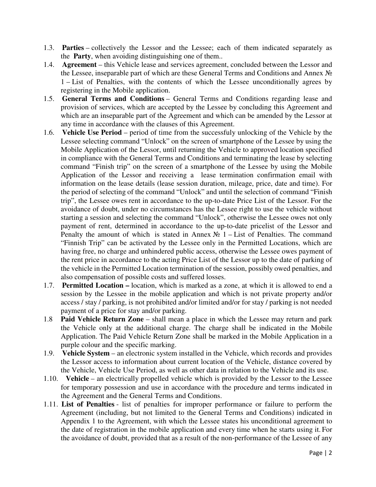- 1.3. **Parties** collectively the Lessor and the Lessee; each of them indicated separately as the **Party**, when avoiding distinguishing one of them..
- 1.4. **Agreement** this Vehicle lease and services agreement, concluded between the Lessor and the Lessee, inseparable part of which are these General Terms and Conditions and Annex № 1 – List of Penalties, with the contents of which the Lessee unconditionally agrees by registering in the Mobile application.
- 1.5. **General Terms and Conditions** General Terms and Conditions regarding lease and provision of services, which are accepted by the Lessee by concluding this Agreement and which are an inseparable part of the Agreement and which can be amended by the Lessor at any time in accordance with the clauses of this Agreement.
- 1.6. **Vehicle Use Period** period of time from the successfuly unlocking of the Vehicle by the Lessee selecting command "Unlock" on the screen of smartphone of the Lessee by using the Mobile Application of the Lessor, until returning the Vehicle to approved location specified in compliance with the General Terms and Conditions and terminating the lease by selecting command "Finish trip" on the screen of a smartphone of the Lessee by using the Mobile Application of the Lessor and receiving a lease termination confirmation email with information on the lease details (lease session duration, mileage, price, date and time). For the period of selecting of the command "Unlock" and until the selection of command "Finish trip", the Lessee owes rent in accordance to the up-to-date Price List of the Lessor. For the avoidance of doubt, under no circumstances has the Lessee right to use the vehicle without starting a session and selecting the command "Unlock", otherwise the Lessee owes not only payment of rent, determined in accordance to the up-to-date pricelist of the Lessor and Penalty the amount of which is stated in Annex  $\mathcal{N}_2$  1 – List of Penalties. The command "Finnish Trip" can be activated by the Lessee only in the Permitted Locations, which are having free, no charge and unhindered public access, otherwise the Lessee owes payment of the rent price in accordance to the acting Price List of the Lessor up to the date of parking of the vehicle in the Permitted Location termination of the session, possibly owed penalties, and also compensation of possible costs and suffered losses.
- 1.7. **Permitted Location –** location, which is marked as a zone, at which it is allowed to end a session by the Lessee in the mobile application and which is not private property and/or access / stay / parking, is not prohibited and/or limited and/or for stay / parking is not needed payment of a price for stay and/or parking.
- 1.8 **Paid Vehicle Return Zone** shall mean a place in which the Lessee may return and park the Vehicle only at the additional charge. The charge shall be indicated in the Mobile Application. The Paid Vehicle Return Zone shall be marked in the Mobile Application in a purple colour and the specific marking.
- 1.9. **Vehicle System** an electronic system installed in the Vehicle, which records and provides the Lessor access to information about current location of the Vehicle, distance covered by the Vehicle, Vehicle Use Period, as well as other data in relation to the Vehicle and its use.
- 1.10. **Vehicle** an electrically propelled vehicle which is provided by the Lessor to the Lessee for temporary possession and use in accordance with the procedure and terms indicated in the Agreement and the General Terms and Conditions.
- 1.11. **List of Penalties** list of penalties for improper performance or failure to perform the Agreement (including, but not limited to the General Terms and Conditions) indicated in Appendix 1 to the Agreement, with which the Lessee states his unconditional agreement to the date of registration in the mobile application and every time when he starts using it. For the avoidance of doubt, provided that as a result of the non-performance of the Lessee of any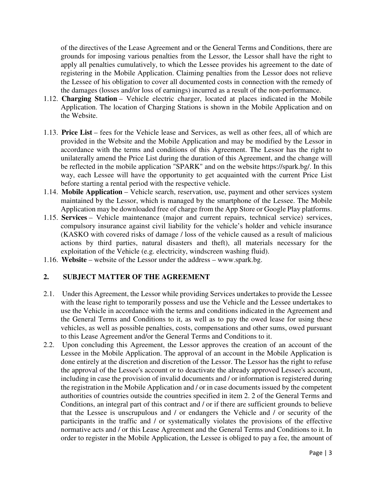of the directives of the Lease Agreement and or the General Terms and Conditions, there are grounds for imposing various penalties from the Lessor, the Lessor shall have the right to apply all penalties cumulatively, to which the Lessee provides his agreement to the date of registering in the Mobile Application. Claiming penalties from the Lessor does not relieve the Lessee of his obligation to cover all documented costs in connection with the remedy of the damages (losses and/or loss of earnings) incurred as a result of the non-performance.

- 1.12. **Charging Station** Vehicle electric charger, located at places indicated in the Mobile Application. The location of Charging Stations is shown in the Mobile Application and on the Website.
- 1.13. **Price List** fees for the Vehicle lease and Services, as well as other fees, all of which are provided in the Website and the Mobile Application and may be modified by the Lessor in accordance with the terms and conditions of this Agreement. The Lessor has the right to unilaterally amend the Price List during the duration of this Agreement, and the change will be reflected in the mobile application "SPARK" and on the website https://spark.bg/. In this way, each Lessee will have the opportunity to get acquainted with the current Price List before starting a rental period with the respective vehicle.
- 1.14. **Mobile Application** Vehicle search, reservation, use, payment and other services system maintained by the Lessor, which is managed by the smartphone of the Lessee. The Mobile Application may be downloaded free of charge from the App Store or Google Play platforms.
- 1.15. **Services** Vehicle maintenance (major and current repairs, technical service) services, compulsory insurance against civil liability for the vehicle's holder and vehicle insurance (KASKO with covered risks of damage / loss of the vehicle caused as a result of malicious actions by third parties, natural disasters and theft), all materials necessary for the exploitation of the Vehicle (e.g. electricity, windscreen washing fluid).
- 1.16. **Website** website of the Lessor under the address www.spark.bg.

#### **2. SUBJECT MATTER OF THE AGREEMENT**

- 2.1. Under this Agreement, the Lessor while providing Services undertakes to provide the Lessee with the lease right to temporarily possess and use the Vehicle and the Lessee undertakes to use the Vehicle in accordance with the terms and conditions indicated in the Agreement and the General Terms and Conditions to it, as well as to pay the owed lease for using these vehicles, as well as possible penalties, costs, compensations and other sums, owed pursuant to this Lease Agreement and/or the General Terms and Conditions to it.
- 2.2. Upon concluding this Agreement, the Lessor approves the creation of an account of the Lessee in the Mobile Application. The approval of an account in the Mobile Application is done entirely at the discretion and discretion of the Lessor. The Lessor has the right to refuse the approval of the Lessee's account or to deactivate the already approved Lessee's account, including in case the provision of invalid documents and / or information is registered during the registration in the Mobile Application and / or in case documents issued by the competent authorities of countries outside the countries specified in item 2. 2 of the General Terms and Conditions, an integral part of this contract and / or if there are sufficient grounds to believe that the Lessee is unscrupulous and / or endangers the Vehicle and / or security of the participants in the traffic and / or systematically violates the provisions of the effective normative acts and / or this Lease Agreement and the General Terms and Conditions to it. In order to register in the Mobile Application, the Lessee is obliged to pay a fee, the amount of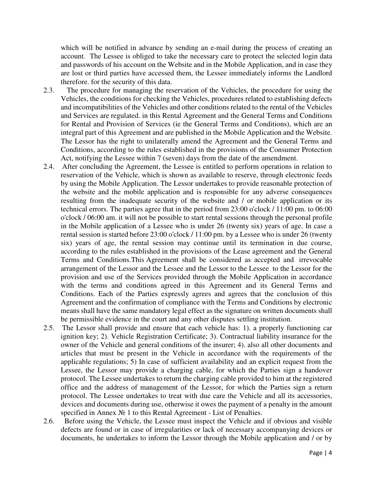which will be notified in advance by sending an e-mail during the process of creating an account. The Lessee is obliged to take the necessary care to protect the selected login data and passwords of his account on the Website and in the Mobile Application, and in case they are lost or third parties have accessed them, the Lessee immediately informs the Landlord therefore. for the security of this data.

- 2.3. The procedure for managing the reservation of the Vehicles, the procedure for using the Vehicles, the conditions for checking the Vehicles, procedures related to establishing defects and incompatibilities of the Vehicles and other conditions related to the rental of the Vehicles and Services are regulated. in this Rental Agreement and the General Terms and Conditions for Rental and Provision of Services (ie the General Terms and Conditions), which are an integral part of this Agreement and are published in the Mobile Application and the Website. The Lessor has the right to unilaterally amend the Agreement and the General Terms and Conditions, according to the rules established in the provisions of the Consumer Protection Act, notifying the Lessee within 7 (seven) days from the date of the amendment.
- 2.4. After concluding the Agreement, the Lessee is entitled to perform operations in relation to reservation of the Vehicle, which is shown as available to reserve, through electronic feeds by using the Mobile Application. The Lessor undertakes to provide reasonable protection of the website and the mobile application and is responsible for any adverse consequences resulting from the inadequate security of the website and / or mobile application or its technical errors. The parties agree that in the period from 23:00 o'clock / 11:00 pm. to 06:00 o'clock / 06:00 am. it will not be possible to start rental sessions through the personal profile in the Mobile application of a Lessee who is under 26 (twenty six) years of age. In case a rental session is started before 23:00 o'clock / 11:00 pm. by a Lessee who is under 26 (twenty six) years of age, the rental session may continue until its termination in due course, according to the rules established in the provisions of the Lease agreement and the General Terms and Conditions.This Agreement shall be considered as accepted and irrevocable arrangement of the Lessor and the Lessee and the Lessor to the Lessee to the Lessor for the provision and use of the Services provided through the Mobile Application in accordance with the terms and conditions agreed in this Agreement and its General Terms and Conditions. Each of the Parties expressly agrees and agrees that the conclusion of this Agreement and the confirmation of compliance with the Terms and Conditions by electronic meansshall have the same mandatory legal effect as the signature on written documents shall be permissible evidence in the court and any other disputes settling institution.
- 2.5. The Lessor shall provide and ensure that each vehicle has: 1). a properly functioning car ignition key; 2). Vehicle Registration Certificate; 3). Contractual liability insurance for the owner of the Vehicle and general conditions of the insurer; 4). also all other documents and articles that must be present in the Vehicle in accordance with the requirements of the applicable regulations; 5) In case of sufficient availability and an explicit request from the Lessee, the Lessor may provide a charging cable, for which the Parties sign a handover protocol. The Lessee undertakes to return the charging cable provided to him at the registered office and the address of management of the Lessor, for which the Parties sign a return protocol. The Lessee undertakes to treat with due care the Vehicle and all its accessories, devices and documents during use, otherwise it owes the payment of a penalty in the amount specified in Annex № 1 to this Rental Agreement - List of Penalties.
- 2.6. Before using the Vehicle, the Lessee must inspect the Vehicle and if obvious and visible defects are found or in case of irregularities or lack of necessary accompanying devices or documents, he undertakes to inform the Lessor through the Mobile application and / or by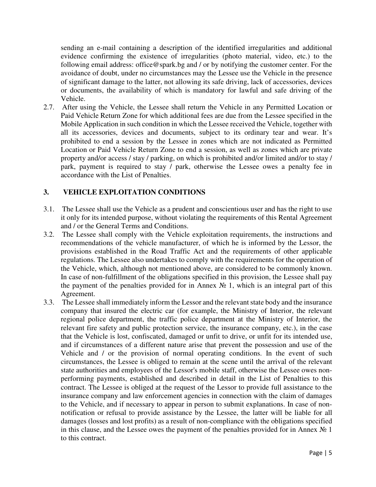sending an e-mail containing a description of the identified irregularities and additional evidence confirming the existence of irregularities (photo material, video, etc.) to the following email address: office@spark.bg and / or by notifying the customer center. For the avoidance of doubt, under no circumstances may the Lessee use the Vehicle in the presence of significant damage to the latter, not allowing its safe driving, lack of accessories, devices or documents, the availability of which is mandatory for lawful and safe driving of the Vehicle.

2.7. After using the Vehicle, the Lessee shall return the Vehicle in any Permitted Location or Paid Vehicle Return Zone for which additional fees are due from the Lessee specified in the Mobile Application in such condition in which the Lessee received the Vehicle, together with all its accessories, devices and documents, subject to its ordinary tear and wear. It's prohibited to end a session by the Lessee in zones which are not indicated as Permitted Location or Paid Vehicle Return Zone to end a session, as well as zones which are private property and/or access / stay / parking, on which is prohibited and/or limited and/or to stay / park, payment is required to stay / park, otherwise the Lessee owes a penalty fee in accordance with the List of Penalties.

# **3. VEHICLE EXPLOITATION CONDITIONS**

- 3.1. The Lessee shall use the Vehicle as a prudent and conscientious user and has the right to use it only for its intended purpose, without violating the requirements of this Rental Agreement and / or the General Terms and Conditions.
- 3.2. The Lessee shall comply with the Vehicle exploitation requirements, the instructions and recommendations of the vehicle manufacturer, of which he is informed by the Lessor, the provisions established in the Road Traffic Act and the requirements of other applicable regulations. The Lessee also undertakes to comply with the requirements for the operation of the Vehicle, which, although not mentioned above, are considered to be commonly known. In case of non-fulfillment of the obligations specified in this provision, the Lessee shall pay the payment of the penalties provided for in Annex  $\mathcal{N}_2$  1, which is an integral part of this Agreement.
- 3.3. The Lessee shall immediately inform the Lessor and the relevant state body and the insurance company that insured the electric car (for example, the Ministry of Interior, the relevant regional police department, the traffic police department at the Ministry of Interior, the relevant fire safety and public protection service, the insurance company, etc.), in the case that the Vehicle is lost, confiscated, damaged or unfit to drive, or unfit for its intended use, and if circumstances of a different nature arise that prevent the possession and use of the Vehicle and / or the provision of normal operating conditions. In the event of such circumstances, the Lessee is obliged to remain at the scene until the arrival of the relevant state authorities and employees of the Lessor's mobile staff, otherwise the Lessee owes nonperforming payments, established and described in detail in the List of Penalties to this contract. The Lessee is obliged at the request of the Lessor to provide full assistance to the insurance company and law enforcement agencies in connection with the claim of damages to the Vehicle, and if necessary to appear in person to submit explanations. In case of nonnotification or refusal to provide assistance by the Lessee, the latter will be liable for all damages (losses and lost profits) as a result of non-compliance with the obligations specified in this clause, and the Lessee owes the payment of the penalties provided for in Annex  $N_2$  1 to this contract.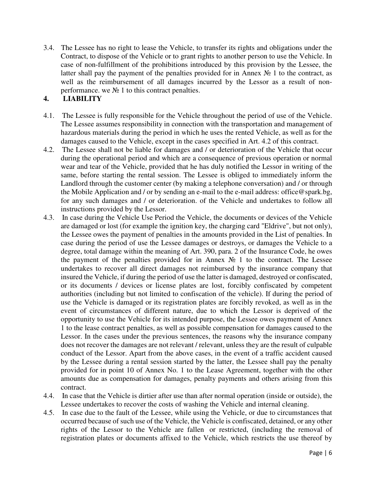3.4. The Lessee has no right to lease the Vehicle, to transfer its rights and obligations under the Contract, to dispose of the Vehicle or to grant rights to another person to use the Vehicle. In case of non-fulfillment of the prohibitions introduced by this provision by the Lessee, the latter shall pay the payment of the penalties provided for in Annex № 1 to the contract, as well as the reimbursement of all damages incurred by the Lessor as a result of nonperformance. we  $N_2$  1 to this contract penalties.

# **4. LIABILITY**

- 4.1. The Lessee is fully responsible for the Vehicle throughout the period of use of the Vehicle. The Lessee assumes responsibility in connection with the transportation and management of hazardous materials during the period in which he uses the rented Vehicle, as well as for the damages caused to the Vehicle, except in the cases specified in Art. 4.2 of this contract.
- 4.2. The Lessee shall not be liable for damages and / or deterioration of the Vehicle that occur during the operational period and which are a consequence of previous operation or normal wear and tear of the Vehicle, provided that he has duly notified the Lessor in writing of the same, before starting the rental session. The Lessee is obliged to immediately inform the Landlord through the customer center (by making a telephone conversation) and / or through the Mobile Application and / or by sending an e-mail to the e-mail address: office@spark.bg, for any such damages and / or deterioration. of the Vehicle and undertakes to follow all instructions provided by the Lessor.
- 4.3. In case during the Vehicle Use Period the Vehicle, the documents or devices of the Vehicle are damaged or lost (for example the ignition key, the charging card "Eldrive", but not only), the Lessee owes the payment of penalties in the amounts provided in the List of penalties. In case during the period of use the Lessee damages or destroys, or damages the Vehicle to a degree, total damage within the meaning of Art. 390, para. 2 of the Insurance Code, he owes the payment of the penalties provided for in Annex № 1 to the contract. The Lessee undertakes to recover all direct damages not reimbursed by the insurance company that insured the Vehicle, if during the period of use the latter is damaged, destroyed or confiscated, or its documents / devices or license plates are lost, forcibly confiscated by competent authorities (including but not limited to confiscation of the vehicle). If during the period of use the Vehicle is damaged or its registration plates are forcibly revoked, as well as in the event of circumstances of different nature, due to which the Lessor is deprived of the opportunity to use the Vehicle for its intended purpose, the Lessee owes payment of Annex 1 to the lease contract penalties, as well as possible compensation for damages caused to the Lessor. In the cases under the previous sentences, the reasons why the insurance company does not recover the damages are not relevant / relevant, unless they are the result of culpable conduct of the Lessor. Apart from the above cases, in the event of a traffic accident caused by the Lessee during a rental session started by the latter, the Lessee shall pay the penalty provided for in point 10 of Annex No. 1 to the Lease Agreement, together with the other amounts due as compensation for damages, penalty payments and others arising from this contract.
- 4.4. In case that the Vehicle is dirtier after use than after normal operation (inside or outside), the Lessee undertakes to recover the costs of washing the Vehicle and internal cleaning.
- 4.5. In case due to the fault of the Lessee, while using the Vehicle, or due to circumstances that occurred because of such use of the Vehicle, the Vehicle is confiscated, detained, or any other rights of the Lessor to the Vehicle are fallen or restricted, (including the removal of registration plates or documents affixed to the Vehicle, which restricts the use thereof by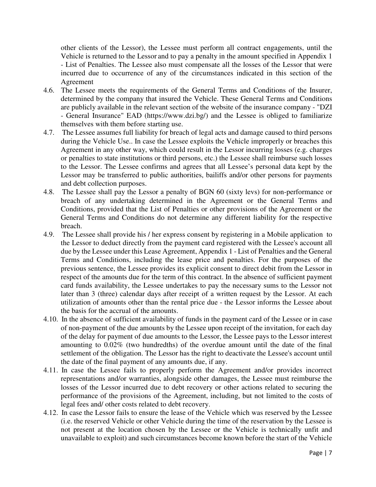other clients of the Lessor), the Lessee must perform all contract engagements, until the Vehicle is returned to the Lessor and to pay a penalty in the amount specified in Appendix 1 - List of Penalties. The Lessee also must compensate all the losses of the Lessor that were incurred due to occurrence of any of the circumstances indicated in this section of the Agreement

- 4.6. The Lessee meets the requirements of the General Terms and Conditions of the Insurer, determined by the company that insured the Vehicle. These General Terms and Conditions are publicly available in the relevant section of the website of the insurance company - "DZI - General Insurance" EAD (https://www.dzi.bg/) and the Lessee is obliged to familiarize themselves with them before starting use.
- 4.7. The Lessee assumes full liability for breach of legal acts and damage caused to third persons during the Vehicle Use.. In case the Lessee exploits the Vehicle improperly or breaches this Agreement in any other way, which could result in the Lessor incurring losses (e.g. charges or penalties to state institutions or third persons, etc.) the Lessee shall reimburse such losses to the Lessor. The Lessee confirms and agrees that all Lessee's personal data kept by the Lessor may be transferred to public authorities, bailiffs and/or other persons for payments and debt collection purposes.
- 4.8. The Lessee shall pay the Lessor a penalty of BGN 60 (sixty levs) for non-performance or breach of any undertaking determined in the Agreement or the General Terms and Conditions, provided that the List of Penalties or other provisions of the Agreement or the General Terms and Conditions do not determine any different liability for the respective breach.
- 4.9. The Lessee shall provide his / her express consent by registering in a Mobile application to the Lessor to deduct directly from the payment card registered with the Lessee's account all due by the Lessee under this Lease Agreement, Appendix 1 - List of Penalties and the General Terms and Conditions, including the lease price and penalties. For the purposes of the previous sentence, the Lessee provides its explicit consent to direct debit from the Lessor in respect of the amounts due for the term of this contract. In the absence of sufficient payment card funds availability, the Lessee undertakes to pay the necessary sums to the Lessor not later than 3 (three) calendar days after receipt of a written request by the Lessor. At each utilization of amounts other than the rental price due - the Lessor informs the Lessee about the basis for the accrual of the amounts.
- 4.10. In the absence of sufficient availability of funds in the payment card of the Lessee or in case of non-payment of the due amounts by the Lessee upon receipt of the invitation, for each day of the delay for payment of due amounts to the Lessor, the Lessee pays to the Lessor interest amounting to 0.02% (two hundredths) of the overdue amount until the date of the final settlement of the obligation. The Lessor has the right to deactivate the Lessee's account until the date of the final payment of any amounts due, if any.
- 4.11. In case the Lessee fails to properly perform the Agreement and/or provides incorrect representations and/or warranties, alongside other damages, the Lessee must reimburse the losses of the Lessor incurred due to debt recovery or other actions related to securing the performance of the provisions of the Agreement, including, but not limited to the costs of legal fees and/ other costs related to debt recovery.
- 4.12. In case the Lessor fails to ensure the lease of the Vehicle which was reserved by the Lessee (i.e. the reserved Vehicle or other Vehicle during the time of the reservation by the Lessee is not present at the location chosen by the Lessee or the Vehicle is technically unfit and unavailable to exploit) and such circumstances become known before the start of the Vehicle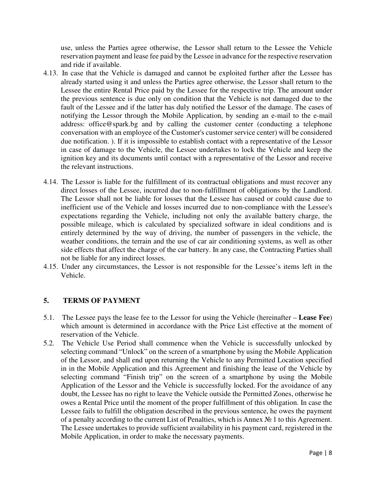use, unless the Parties agree otherwise, the Lessor shall return to the Lessee the Vehicle reservation payment and lease fee paid by the Lessee in advance for the respective reservation and ride if available.

- 4.13. In case that the Vehicle is damaged and cannot be exploited further after the Lessee has already started using it and unless the Parties agree otherwise, the Lessor shall return to the Lessee the entire Rental Price paid by the Lessee for the respective trip. The amount under the previous sentence is due only on condition that the Vehicle is not damaged due to the fault of the Lessee and if the latter has duly notified the Lessor of the damage. The cases of notifying the Lessor through the Mobile Application, by sending an e-mail to the e-mail address: office@spark.bg and by calling the customer center (conducting a telephone conversation with an employee of the Customer's customer service center) will be considered due notification. ). If it is impossible to establish contact with a representative of the Lessor in case of damage to the Vehicle, the Lessee undertakes to lock the Vehicle and keep the ignition key and its documents until contact with a representative of the Lessor and receive the relevant instructions.
- 4.14. The Lessor is liable for the fulfillment of its contractual obligations and must recover any direct losses of the Lessee, incurred due to non-fulfillment of obligations by the Landlord. The Lessor shall not be liable for losses that the Lessee has caused or could cause due to inefficient use of the Vehicle and losses incurred due to non-compliance with the Lessee's expectations regarding the Vehicle, including not only the available battery charge, the possible mileage, which is calculated by specialized software in ideal conditions and is entirely determined by the way of driving, the number of passengers in the vehicle, the weather conditions, the terrain and the use of car air conditioning systems, as well as other side effects that affect the charge of the car battery. In any case, the Contracting Parties shall not be liable for any indirect losses.
- 4.15. Under any circumstances, the Lessor is not responsible for the Lessee's items left in the Vehicle.

# **5. TERMS OF PAYMENT**

- 5.1. The Lessee pays the lease fee to the Lessor for using the Vehicle (hereinafter **Lease Fee**) which amount is determined in accordance with the Price List effective at the moment of reservation of the Vehicle.
- 5.2. The Vehicle Use Period shall commence when the Vehicle is successfully unlocked by selecting command "Unlock" on the screen of a smartphone by using the Mobile Application of the Lessor, and shall end upon returning the Vehicle to any Permitted Location specified in in the Mobile Application and this Agreement and finishing the lease of the Vehicle by selecting command "Finish trip" on the screen of a smartphone by using the Mobile Application of the Lessor and the Vehicle is successfully locked. For the avoidance of any doubt, the Lessee has no right to leave the Vehicle outside the Permitted Zones, otherwise he owes a Rental Price until the moment of the proper fulfillment of this obligation. In case the Lessee fails to fulfill the obligation described in the previous sentence, he owes the payment of a penalty according to the current List of Penalties, which is Annex № 1 to this Agreement. The Lessee undertakes to provide sufficient availability in his payment card, registered in the Mobile Application, in order to make the necessary payments.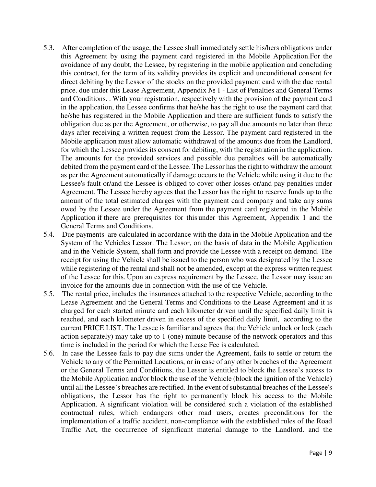- 5.3. After completion of the usage, the Lessee shall immediately settle his/hers obligations under this Agreement by using the payment card registered in the Mobile Application.For the avoidance of any doubt, the Lessee, by registering in the mobile application and concluding this contract, for the term of its validity provides its explicit and unconditional consent for direct debiting by the Lessor of the stocks on the provided payment card with the due rental price. due under this Lease Agreement, Appendix № 1 - List of Penalties and General Terms and Conditions. . With your registration, respectively with the provision of the payment card in the application, the Lessee confirms that he/she has the right to use the payment card that he/she has registered in the Mobile Application and there are sufficient funds to satisfy the obligation due as per the Agreement, or otherwise, to pay all due amounts no later than three days after receiving a written request from the Lessor. The payment card registered in the Mobile application must allow automatic withdrawal of the amounts due from the Landlord, for which the Lessee provides its consent for debiting, with the registration in the application. The amounts for the provided services and possible due penalties will be automatically debited from the payment card of the Lessee. The Lessor has the right to withdraw the amount as per the Agreement automatically if damage occurs to the Vehicle while using it due to the Lessee's fault or/and the Lessee is obliged to cover other losses or/and pay penalties under Agreement. The Lessee hereby agrees that the Lessor has the right to reserve funds up to the amount of the total estimated charges with the payment card company and take any sums owed by the Lessee under the Agreement from the payment card registered in the Mobile Application if there are prerequisites for this under this Agreement, Appendix 1 and the General Terms and Conditions.
- 5.4. Due payments are calculated in accordance with the data in the Mobile Application and the System of the Vehicles Lessor. The Lessor, on the basis of data in the Mobile Application and in the Vehicle System, shall form and provide the Lessee with a receipt on demand. The receipt for using the Vehicle shall be issued to the person who was designated by the Lessee while registering of the rental and shall not be amended, except at the express written request of the Lessee for this. Upon an express requirement by the Lessee, the Lessor may issue an invoice for the amounts due in connection with the use of the Vehicle.
- 5.5. The rental price, includes the insurances attached to the respective Vehicle, according to the Lease Agreement and the General Terms and Conditions to the Lease Agreement and it is charged for each started minute and each kilometer driven until the specified daily limit is reached, and each kilometer driven in excess of the specified daily limit, according to the current PRICE LIST. The Lessee is familiar and agrees that the Vehicle unlock or lock (each action separately) may take up to 1 (one) minute because of the network operators and this time is included in the period for which the Lease Fee is calculated.
- 5.6. In case the Lessee fails to pay due sums under the Agreement, fails to settle or return the Vehicle to any of the Permitted Locations, or in case of any other breaches of the Agreement or the General Terms and Conditions, the Lessor is entitled to block the Lessee's access to the Mobile Application and/or block the use of the Vehicle (block the ignition of the Vehicle) until all the Lessee's breaches are rectified. In the event of substantial breaches of the Lessee's obligations, the Lessor has the right to permanently block his access to the Mobile Application. A significant violation will be considered such a violation of the established contractual rules, which endangers other road users, creates preconditions for the implementation of a traffic accident, non-compliance with the established rules of the Road Traffic Act, the occurrence of significant material damage to the Landlord. and the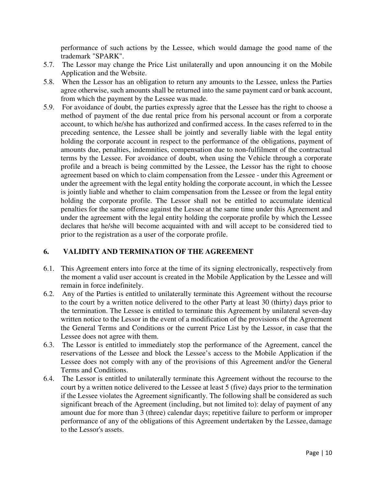performance of such actions by the Lessee, which would damage the good name of the trademark "SPARK".

- 5.7. The Lessor may change the Price List unilaterally and upon announcing it on the Mobile Application and the Website.
- 5.8. When the Lessor has an obligation to return any amounts to the Lessee, unless the Parties agree otherwise, such amounts shall be returned into the same payment card or bank account, from which the payment by the Lessee was made.
- 5.9. For avoidance of doubt, the parties expressly agree that the Lessee has the right to choose a method of payment of the due rental price from his personal account or from a corporate account, to which he/she has authorized and confirmed access. In the cases referred to in the preceding sentence, the Lessee shall be jointly and severally liable with the legal entity holding the corporate account in respect to the performance of the obligations, payment of amounts due, penalties, indemnities, compensation due to non-fulfilment of the contractual terms by the Lessee. For avoidance of doubt, when using the Vehicle through a corporate profile and a breach is being committed by the Lessee, the Lessor has the right to choose agreement based on which to claim compensation from the Lessee - under this Agreement or under the agreement with the legal entity holding the corporate account, in which the Lessee is jointly liable and whether to claim compensation from the Lessee or from the legal entity holding the corporate profile. The Lessor shall not be entitled to accumulate identical penalties for the same offense against the Lessee at the same time under this Agreement and under the agreement with the legal entity holding the corporate profile by which the Lessee declares that he/she will become acquainted with and will accept to be considered tied to prior to the registration as a user of the corporate profile.

# **6. VALIDITY AND TERMINATION OF THE AGREEMENT**

- 6.1. This Agreement enters into force at the time of its signing electronically, respectively from the moment a valid user account is created in the Mobile Application by the Lessee and will remain in force indefinitely.
- 6.2. Any of the Parties is entitled to unilaterally terminate this Agreement without the recourse to the court by a written notice delivered to the other Party at least 30 (thirty) days prior to the termination. The Lessee is entitled to terminate this Agreement by unilateral seven-day written notice to the Lessor in the event of a modification of the provisions of the Agreement the General Terms and Conditions or the current Price List by the Lessor, in case that the Lessee does not agree with them.
- 6.3. The Lessor is entitled to immediately stop the performance of the Agreement, cancel the reservations of the Lessee and block the Lessee's access to the Mobile Application if the Lessee does not comply with any of the provisions of this Agreement and/or the General Terms and Conditions.
- 6.4. The Lessor is entitled to unilaterally terminate this Agreement without the recourse to the court by a written notice delivered to the Lessee at least 5 (five) days prior to the termination if the Lessee violates the Agreement significantly. The following shall be considered as such significant breach of the Agreement (including, but not limited to): delay of payment of any amount due for more than 3 (threе) calendar days; repetitive failure to perform or improper performance of any of the obligations of this Agreement undertaken by the Lessee, damage to the Lessor's assets.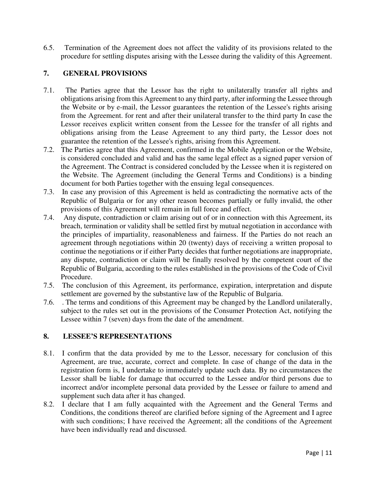6.5. Termination of the Agreement does not affect the validity of its provisions related to the procedure for settling disputes arising with the Lessee during the validity of this Agreement.

# **7. GENERAL PROVISIONS**

- 7.1. The Parties agree that the Lessor has the right to unilaterally transfer all rights and obligations arising from this Agreement to any third party, after informing the Lessee through the Website or by e-mail, the Lessor guarantees the retention of the Lessee's rights arising from the Agreement. for rent and after their unilateral transfer to the third party In case the Lessor receives explicit written consent from the Lessee for the transfer of all rights and obligations arising from the Lease Agreement to any third party, the Lessor does not guarantee the retention of the Lessee's rights, arising from this Agreement.
- 7.2. The Parties agree that this Agreement, confirmed in the Mobile Application or the Website, is considered concluded and valid and has the same legal effect as a signed paper version of the Agreement. The Contract is considered concluded by the Lessee when it is registered on the Website. The Agreement (including the General Terms and Conditions) is a binding document for both Parties together with the ensuing legal consequences.
- 7.3. In case any provision of this Agreement is held as contradicting the normative acts of the Republic of Bulgaria or for any other reason becomes partially or fully invalid, the other provisions of this Agreement will remain in full force and effect.
- 7.4. Any dispute, contradiction or claim arising out of or in connection with this Agreement, its breach, termination or validity shall be settled first by mutual negotiation in accordance with the principles of impartiality, reasonableness and fairness. If the Parties do not reach an agreement through negotiations within 20 (twenty) days of receiving a written proposal to continue the negotiations or if either Party decides that further negotiations are inappropriate, any dispute, contradiction or claim will be finally resolved by the competent court of the Republic of Bulgaria, according to the rules established in the provisions of the Code of Civil Procedure.
- 7.5. The conclusion of this Agreement, its performance, expiration, interpretation and dispute settlement are governed by the substantive law of the Republic of Bulgaria.
- 7.6. . The terms and conditions of this Agreement may be changed by the Landlord unilaterally, subject to the rules set out in the provisions of the Consumer Protection Act, notifying the Lessee within 7 (seven) days from the date of the amendment.

# **8. LESSEE'S REPRESENTATIONS**

- 8.1. I confirm that the data provided by me to the Lessor, necessary for conclusion of this Agreement, are true, accurate, correct and complete. In case of change of the data in the registration form is, I undertake to immediately update such data. By no circumstances the Lessor shall be liable for damage that occurred to the Lessee and/or third persons due to incorrect and/or incomplete personal data provided by the Lessee or failure to amend and supplement such data after it has changed.
- 8.2. I declare that I am fully acquainted with the Agreement and the General Terms and Conditions, the conditions thereof are clarified before signing of the Agreement and I agree with such conditions; I have received the Agreement; all the conditions of the Agreement have been individually read and discussed.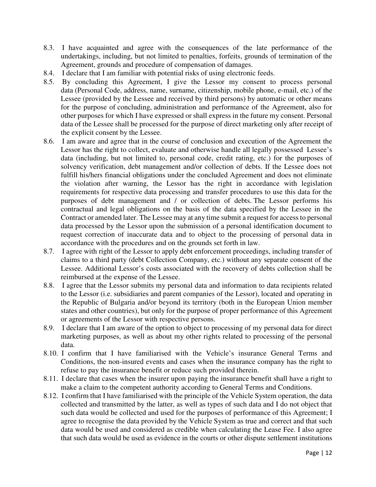- 8.3. I have acquainted and agree with the consequences of the late performance of the undertakings, including, but not limited to penalties, forfeits, grounds of termination of the Agreement, grounds and procedure of compensation of damages.
- 8.4. I declare that I am familiar with potential risks of using electronic feeds.
- 8.5. By concluding this Agreement, I give the Lessor my consent to process personal data (Personal Code, address, name, surname, citizenship, mobile phone, e-mail, etc.) of the Lessee (provided by the Lessee and received by third persons) by automatic or other means for the purpose of concluding, administration and performance of the Agreement, also for other purposes for which I have expressed or shall express in the future my consent. Personal data of the Lessee shall be processed for the purpose of direct marketing only after receipt of the explicit consent by the Lessee.
- 8.6. I am aware and agree that in the course of conclusion and execution of the Agreement the Lessor has the right to collect, evaluate and otherwise handle all legally possessed Lessee's data (including, but not limited to, personal code, credit rating, etc.) for the purposes of solvency verification, debt management and/or collection of debts. If the Lessee does not fulfill his/hers financial obligations under the concluded Agreement and does not eliminate the violation after warning, the Lessor has the right in accordance with legislation requirements for respective data processing and transfer procedures to use this data for the purposes of debt management and / or collection of debts. The Lessor performs his contractual and legal obligations on the basis of the data specified by the Lessee in the Contract or amended later. The Lessee may at any time submit a request for access to personal data processed by the Lessor upon the submission of a personal identification document to request correction of inaccurate data and to object to the processing of personal data in accordance with the procedures and on the grounds set forth in law.
- 8.7. I agree with right of the Lessor to apply debt enforcement proceedings, including transfer of claims to a third party (debt Collection Company, etc.) without any separate consent of the Lessee. Additional Lessor's costs associated with the recovery of debts collection shall be reimbursed at the expense of the Lessee.
- 8.8. I agree that the Lessor submits my personal data and information to data recipients related to the Lessor (i.e. subsidiaries and parent companies of the Lessor), located and operating in the Republic of Bulgaria and/or beyond its territory (both in the European Union member states and other countries), but only for the purpose of proper performance of this Agreement or agreements of the Lessor with respective persons.
- 8.9. I declare that I am aware of the option to object to processing of my personal data for direct marketing purposes, as well as about my other rights related to processing of the personal data.
- 8.10. I confirm that I have familiarised with the Vehicle's insurance General Terms and Conditions, the non-insured events and cases when the insurance company has the right to refuse to pay the insurance benefit or reduce such provided therein.
- 8.11. I declare that cases when the insurer upon paying the insurance benefit shall have a right to make a claim to the competent authority according to General Terms and Conditions.
- 8.12. I confirm that I have familiarised with the principle of the Vehicle System operation, the data collected and transmitted by the latter, as well as types of such data and I do not object that such data would be collected and used for the purposes of performance of this Agreement; I agree to recognise the data provided by the Vehicle System as true and correct and that such data would be used and considered as credible when calculating the Lease Fee. I also agree that such data would be used as evidence in the courts or other dispute settlement institutions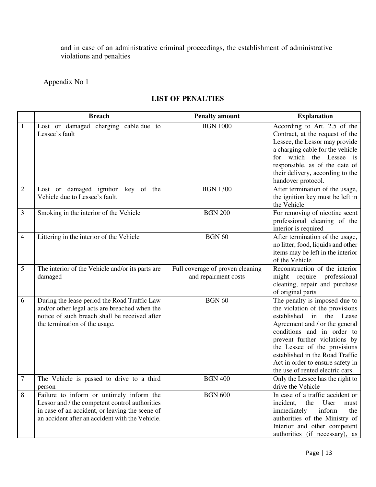and in case of an administrative criminal proceedings, the establishment of administrative violations and penalties

Appendix No 1

# **LIST OF PENALTIES**

|                | <b>Breach</b>                                                                                                                                                                                    | <b>Penalty amount</b>                                    | <b>Explanation</b>                                                                                                                                                                                                                                                                                                                          |
|----------------|--------------------------------------------------------------------------------------------------------------------------------------------------------------------------------------------------|----------------------------------------------------------|---------------------------------------------------------------------------------------------------------------------------------------------------------------------------------------------------------------------------------------------------------------------------------------------------------------------------------------------|
| $\mathbf{1}$   | Lost or damaged charging cable due to<br>Lessee's fault                                                                                                                                          | <b>BGN 1000</b>                                          | According to Art. 2.5 of the<br>Contract, at the request of the<br>Lessee, the Lessor may provide<br>a charging cable for the vehicle<br>for which the Lessee is<br>responsible, as of the date of<br>their delivery, according to the<br>handover protocol.                                                                                |
| $\sqrt{2}$     | Lost or damaged ignition key of the<br>Vehicle due to Lessee's fault.                                                                                                                            | <b>BGN 1300</b>                                          | After termination of the usage,<br>the ignition key must be left in<br>the Vehicle                                                                                                                                                                                                                                                          |
| 3              | Smoking in the interior of the Vehicle                                                                                                                                                           | <b>BGN 200</b>                                           | For removing of nicotine scent<br>professional cleaning of the<br>interior is required                                                                                                                                                                                                                                                      |
| $\overline{4}$ | Littering in the interior of the Vehicle                                                                                                                                                         | <b>BGN 60</b>                                            | After termination of the usage,<br>no litter, food, liquids and other<br>items may be left in the interior<br>of the Vehicle                                                                                                                                                                                                                |
| 5              | The interior of the Vehicle and/or its parts are<br>damaged                                                                                                                                      | Full coverage of proven cleaning<br>and repairment costs | Reconstruction of the interior<br>might require professional<br>cleaning, repair and purchase<br>of original parts                                                                                                                                                                                                                          |
| 6              | During the lease period the Road Traffic Law<br>and/or other legal acts are breached when the<br>notice of such breach shall be received after<br>the termination of the usage.                  | <b>BGN 60</b>                                            | The penalty is imposed due to<br>the violation of the provisions<br>established<br>in the Lease<br>Agreement and / or the general<br>conditions and in order to<br>prevent further violations by<br>the Lessee of the provisions<br>established in the Road Traffic<br>Act in order to ensure safety in<br>the use of rented electric cars. |
| $\tau$         | The Vehicle is passed to drive to a third<br>person                                                                                                                                              | <b>BGN 400</b>                                           | Only the Lessee has the right to<br>drive the Vehicle                                                                                                                                                                                                                                                                                       |
| $\,8\,$        | Failure to inform or untimely inform the<br>Lessor and / the competent control authorities<br>in case of an accident, or leaving the scene of<br>an accident after an accident with the Vehicle. | <b>BGN 600</b>                                           | In case of a traffic accident or<br>the<br>User<br>incident,<br>must<br>immediately<br>inform<br>the<br>authorities of the Ministry of<br>Interior and other competent<br>authorities (if necessary), as                                                                                                                                    |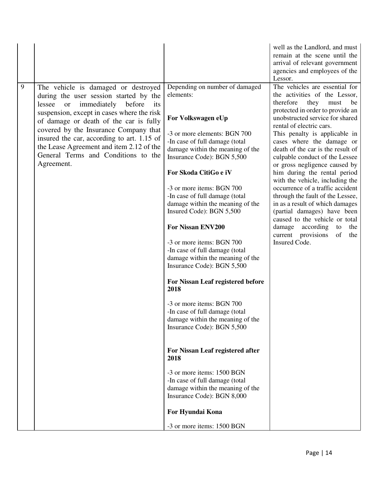|   |                                                                                                                                                                                                                                                                                                                                                                                                                          |                                                                                                                                                                                                                                                                                                                                                                                                                                                                                                                                                                                                                                                                                                                                       | well as the Landlord, and must<br>remain at the scene until the<br>arrival of relevant government<br>agencies and employees of the<br>Lessor.                                                                                                                                                                                                                                                                                                                                                                                                                                                                                                                                                                      |
|---|--------------------------------------------------------------------------------------------------------------------------------------------------------------------------------------------------------------------------------------------------------------------------------------------------------------------------------------------------------------------------------------------------------------------------|---------------------------------------------------------------------------------------------------------------------------------------------------------------------------------------------------------------------------------------------------------------------------------------------------------------------------------------------------------------------------------------------------------------------------------------------------------------------------------------------------------------------------------------------------------------------------------------------------------------------------------------------------------------------------------------------------------------------------------------|--------------------------------------------------------------------------------------------------------------------------------------------------------------------------------------------------------------------------------------------------------------------------------------------------------------------------------------------------------------------------------------------------------------------------------------------------------------------------------------------------------------------------------------------------------------------------------------------------------------------------------------------------------------------------------------------------------------------|
| 9 | The vehicle is damaged or destroyed<br>during the user session started by the<br><sub>or</sub><br>immediately<br>lessee<br>before<br>its<br>suspension, except in cases where the risk<br>of damage or death of the car is fully<br>covered by the Insurance Company that<br>insured the car, according to art. 1.15 of<br>the Lease Agreement and item 2.12 of the<br>General Terms and Conditions to the<br>Agreement. | Depending on number of damaged<br>elements:<br>For Volkswagen eUp<br>-3 or more elements: BGN 700<br>-In case of full damage (total<br>damage within the meaning of the<br>Insurance Code): BGN 5,500<br>For Skoda CitiGo e iV<br>-3 or more items: BGN 700<br>-In case of full damage (total<br>damage within the meaning of the<br>Insured Code): BGN 5,500<br>For Nissan ENV200<br>-3 or more items: BGN 700<br>-In case of full damage (total<br>damage within the meaning of the<br>Insurance Code): BGN 5,500<br>For Nissan Leaf registered before<br>2018<br>-3 or more items: BGN 700<br>-In case of full damage (total<br>damage within the meaning of the<br>Insurance Code): BGN 5,500<br>For Nissan Leaf registered after | The vehicles are essential for<br>the activities of the Lessor,<br>therefore<br>they<br>must<br>be<br>protected in order to provide an<br>unobstructed service for shared<br>rental of electric cars.<br>This penalty is applicable in<br>cases where the damage or<br>death of the car is the result of<br>culpable conduct of the Lessee<br>or gross negligence caused by<br>him during the rental period<br>with the vehicle, including the<br>occurrence of a traffic accident<br>through the fault of the Lessee,<br>in as a result of which damages<br>(partial damages) have been<br>caused to the vehicle or total<br>damage<br>according<br>to<br>the<br>current provisions<br>of<br>the<br>Insured Code. |
|   |                                                                                                                                                                                                                                                                                                                                                                                                                          | 2018<br>-3 or more items: 1500 BGN<br>-In case of full damage (total                                                                                                                                                                                                                                                                                                                                                                                                                                                                                                                                                                                                                                                                  |                                                                                                                                                                                                                                                                                                                                                                                                                                                                                                                                                                                                                                                                                                                    |
|   |                                                                                                                                                                                                                                                                                                                                                                                                                          | damage within the meaning of the<br>Insurance Code): BGN 8,000<br>For Hyundai Kona                                                                                                                                                                                                                                                                                                                                                                                                                                                                                                                                                                                                                                                    |                                                                                                                                                                                                                                                                                                                                                                                                                                                                                                                                                                                                                                                                                                                    |
|   |                                                                                                                                                                                                                                                                                                                                                                                                                          | -3 or more items: 1500 BGN                                                                                                                                                                                                                                                                                                                                                                                                                                                                                                                                                                                                                                                                                                            |                                                                                                                                                                                                                                                                                                                                                                                                                                                                                                                                                                                                                                                                                                                    |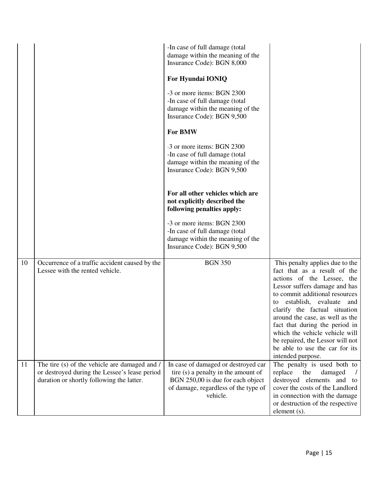|    |                                                                                                                                             | -In case of full damage (total<br>damage within the meaning of the<br>Insurance Code): BGN 8,000                                                                    |                                                                                                                                                                                                                                                                                                                                                                                                                                         |
|----|---------------------------------------------------------------------------------------------------------------------------------------------|---------------------------------------------------------------------------------------------------------------------------------------------------------------------|-----------------------------------------------------------------------------------------------------------------------------------------------------------------------------------------------------------------------------------------------------------------------------------------------------------------------------------------------------------------------------------------------------------------------------------------|
|    |                                                                                                                                             | For Hyundai IONIQ                                                                                                                                                   |                                                                                                                                                                                                                                                                                                                                                                                                                                         |
|    |                                                                                                                                             | -3 or more items: BGN 2300<br>-In case of full damage (total<br>damage within the meaning of the<br>Insurance Code): BGN 9,500                                      |                                                                                                                                                                                                                                                                                                                                                                                                                                         |
|    |                                                                                                                                             | <b>For BMW</b>                                                                                                                                                      |                                                                                                                                                                                                                                                                                                                                                                                                                                         |
|    |                                                                                                                                             | -3 or more items: BGN 2300<br>-In case of full damage (total<br>damage within the meaning of the<br>Insurance Code): BGN 9,500                                      |                                                                                                                                                                                                                                                                                                                                                                                                                                         |
|    |                                                                                                                                             | For all other vehicles which are<br>not explicitly described the<br>following penalties apply:                                                                      |                                                                                                                                                                                                                                                                                                                                                                                                                                         |
|    |                                                                                                                                             | -3 or more items: BGN 2300<br>-In case of full damage (total<br>damage within the meaning of the<br>Insurance Code): BGN 9,500                                      |                                                                                                                                                                                                                                                                                                                                                                                                                                         |
| 10 | Occurrence of a traffic accident caused by the<br>Lessee with the rented vehicle.                                                           | <b>BGN 350</b>                                                                                                                                                      | This penalty applies due to the<br>fact that as a result of the<br>actions of the Lessee, the<br>Lessor suffers damage and has<br>to commit additional resources<br>establish, evaluate<br>and<br>to<br>clarify the factual situation<br>around the case, as well as the<br>fact that during the period in<br>which the vehicle vehicle will<br>be repaired, the Lessor will not<br>be able to use the car for its<br>intended purpose. |
| 11 | The tire (s) of the vehicle are damaged and /<br>or destroyed during the Lessee's lease period<br>duration or shortly following the latter. | In case of damaged or destroyed car<br>tire (s) a penalty in the amount of<br>BGN 250,00 is due for each object<br>of damage, regardless of the type of<br>vehicle. | The penalty is used both to<br>replace<br>damaged<br>the<br>destroyed elements and to<br>cover the costs of the Landlord<br>in connection with the damage<br>or destruction of the respective<br>element (s).                                                                                                                                                                                                                           |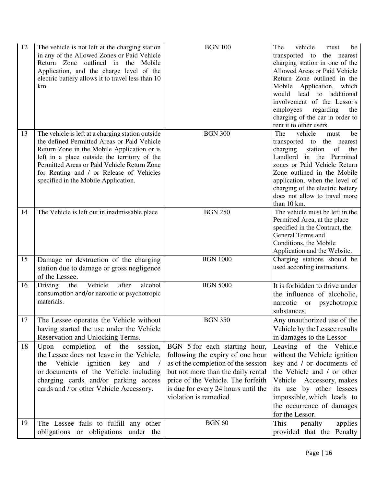| 12 | The vehicle is not left at the charging station<br>in any of the Allowed Zones or Paid Vehicle<br>Return Zone outlined in the Mobile<br>Application, and the charge level of the<br>electric battery allows it to travel less than 10<br>km.                                                                                       | <b>BGN 100</b>                                                                                                                                                                                                                                       | The<br>vehicle<br>must<br>be<br>transported to the nearest<br>charging station in one of the<br>Allowed Areas or Paid Vehicle<br>Return Zone outlined in the<br>Mobile<br>Application, which<br>would<br>lead<br>additional<br>to<br>involvement of the Lessor's<br>employees<br>regarding<br>the<br>charging of the car in order to<br>rent it to other users. |
|----|------------------------------------------------------------------------------------------------------------------------------------------------------------------------------------------------------------------------------------------------------------------------------------------------------------------------------------|------------------------------------------------------------------------------------------------------------------------------------------------------------------------------------------------------------------------------------------------------|-----------------------------------------------------------------------------------------------------------------------------------------------------------------------------------------------------------------------------------------------------------------------------------------------------------------------------------------------------------------|
| 13 | The vehicle is left at a charging station outside<br>the defined Permitted Areas or Paid Vehicle<br>Return Zone in the Mobile Application or is<br>left in a place outside the territory of the<br>Permitted Areas or Paid Vehicle Return Zone<br>for Renting and / or Release of Vehicles<br>specified in the Mobile Application. | <b>BGN 300</b>                                                                                                                                                                                                                                       | The<br>vehicle<br>be<br>must<br>transported to the nearest<br>charging<br>station<br>of<br>the<br>Landlord in the Permitted<br>zones or Paid Vehicle Return<br>Zone outlined in the Mobile<br>application, when the level of<br>charging of the electric battery<br>does not allow to travel more<br>than 10 km.                                                |
| 14 | The Vehicle is left out in inadmissable place                                                                                                                                                                                                                                                                                      | <b>BGN 250</b>                                                                                                                                                                                                                                       | The vehicle must be left in the<br>Permitted Area, at the place<br>specified in the Contract, the<br>General Terms and<br>Conditions, the Mobile<br>Application and the Website.                                                                                                                                                                                |
| 15 | Damage or destruction of the charging<br>station due to damage or gross negligence<br>of the Lessee.                                                                                                                                                                                                                               | <b>BGN 1000</b>                                                                                                                                                                                                                                      | Charging stations should be<br>used according instructions.                                                                                                                                                                                                                                                                                                     |
| 16 | Vehicle<br>after<br>alcohol<br>Driving<br>the<br>consumption and/or narcotic or psychotropic<br>materials.                                                                                                                                                                                                                         | <b>BGN 5000</b>                                                                                                                                                                                                                                      | It is forbidden to drive under<br>the influence of alcoholic,<br>narcotic or psychotropic<br>substances.                                                                                                                                                                                                                                                        |
| 17 | The Lessee operates the Vehicle without<br>having started the use under the Vehicle<br>Reservation and Unlocking Terms.                                                                                                                                                                                                            | <b>BGN 350</b>                                                                                                                                                                                                                                       | Any unauthorized use of the<br>Vehicle by the Lessee results<br>in damages to the Lessor                                                                                                                                                                                                                                                                        |
| 18 | Upon completion of the<br>session,<br>the Lessee does not leave in the Vehicle,<br>Vehicle<br>ignition key<br>and $/$<br>the<br>or documents of the Vehicle including<br>charging cards and/or parking access<br>cards and / or other Vehicle Accessory.                                                                           | BGN 5 for each starting hour,<br>following the expiry of one hour<br>as of the completion of the session<br>but not more than the daily rental<br>price of the Vehicle. The forfeith<br>is due for every 24 hours until the<br>violation is remedied | Leaving of the Vehicle<br>without the Vehicle ignition<br>key and / or documents of<br>the Vehicle and / or other<br>Vehicle Accessory, makes<br>its use by other lessees<br>impossible, which leads to<br>the occurrence of damages<br>for the Lessor.                                                                                                         |
| 19 | The Lessee fails to fulfill any other<br>obligations or obligations under the                                                                                                                                                                                                                                                      | <b>BGN 60</b>                                                                                                                                                                                                                                        | This<br>penalty<br>applies<br>provided that the Penalty                                                                                                                                                                                                                                                                                                         |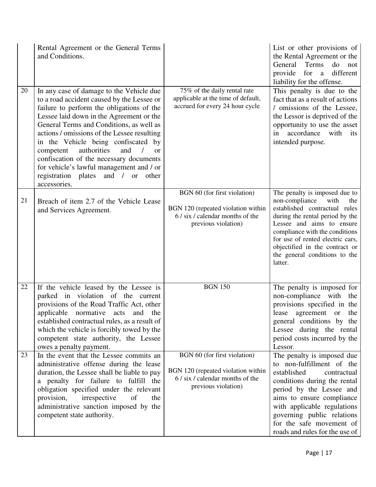|    | Rental Agreement or the General Terms<br>and Conditions.                                                                                                                                                                                                                                                                                                                                                                                                                                                                   |                                                                                                                               | List or other provisions of<br>the Rental Agreement or the<br>Terms<br>do<br>General<br>not<br>provide for a different<br>liability for the offense.                                                                                                                                                                |
|----|----------------------------------------------------------------------------------------------------------------------------------------------------------------------------------------------------------------------------------------------------------------------------------------------------------------------------------------------------------------------------------------------------------------------------------------------------------------------------------------------------------------------------|-------------------------------------------------------------------------------------------------------------------------------|---------------------------------------------------------------------------------------------------------------------------------------------------------------------------------------------------------------------------------------------------------------------------------------------------------------------|
| 20 | In any case of damage to the Vehicle due<br>to a road accident caused by the Lessee or<br>failure to perform the obligations of the<br>Lessee laid down in the Agreement or the<br>General Terms and Conditions, as well as<br>actions / omissions of the Lessee resulting<br>in the Vehicle being confiscated by<br>authorities<br>and<br>competent<br>$\prime$<br><b>or</b><br>confiscation of the necessary documents<br>for vehicle's lawful management and / or<br>registration plates and / or other<br>accessories. | 75% of the daily rental rate<br>applicable at the time of default,<br>accrued for every 24 hour cycle                         | This penalty is due to the<br>fact that as a result of actions<br>/ omissions of the Lessee,<br>the Lessor is deprived of the<br>opportunity to use the asset<br>in accordance with<br>its<br>intended purpose.                                                                                                     |
| 21 | Breach of item 2.7 of the Vehicle Lease<br>and Services Agreement.                                                                                                                                                                                                                                                                                                                                                                                                                                                         | BGN 60 (for first violation)<br>BGN 120 (repeated violation within<br>6 / six / calendar months of the<br>previous violation) | The penalty is imposed due to<br>non-compliance<br>with<br>the<br>established contractual rules<br>during the rental period by the<br>Lessee and aims to ensure<br>compliance with the conditions<br>for use of rented electric cars,<br>objectified in the contract or<br>the general conditions to the<br>latter. |
| 22 | If the vehicle leased by the Lessee is<br>parked in violation of the current<br>provisions of the Road Traffic Act, other<br>applicable normative acts<br>and the<br>established contractual rules, as a result of<br>which the vehicle is forcibly towed by the<br>competent state authority, the Lessee<br>owes a penalty payment.                                                                                                                                                                                       | <b>BGN 150</b>                                                                                                                | The penalty is imposed for<br>non-compliance with<br>the<br>provisions specified in the<br>lease agreement or the<br>general conditions by the<br>Lessee during the rental<br>period costs incurred by the<br>Lessor.                                                                                               |
| 23 | In the event that the Lessee commits an<br>administrative offense during the lease<br>duration, the Lessee shall be liable to pay<br>a penalty for failure to fulfill the<br>obligation specified under the relevant<br>provision,<br>irrespective<br>of<br>the<br>administrative sanction imposed by the<br>competent state authority.                                                                                                                                                                                    | BGN 60 (for first violation)<br>BGN 120 (repeated violation within<br>6 / six / calendar months of the<br>previous violation) | The penalty is imposed due<br>to non-fulfillment of the<br>established<br>contractual<br>conditions during the rental<br>period by the Lessee and<br>aims to ensure compliance<br>with applicable regulations<br>governing public relations<br>for the safe movement of<br>roads and rules for the use of           |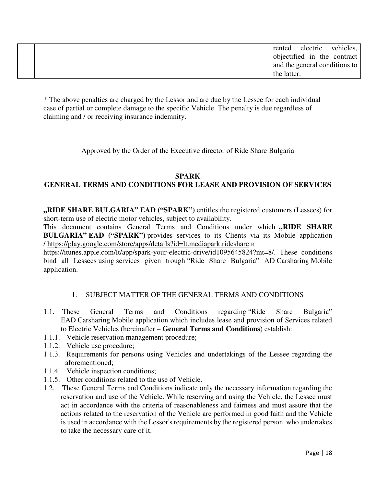|  | rented electric vehicles,     |  |
|--|-------------------------------|--|
|  | objectified in the contract   |  |
|  | and the general conditions to |  |
|  | the latter.                   |  |

\* The above penalties are charged by the Lessor and are due by the Lessee for each individual case of partial or complete damage to the specific Vehicle. The penalty is due regardless of claiming and / or receiving insurance indemnity.

Approved by the Order of the Executive director of Ride Share Bulgaria

#### **SPARK**

# **GENERAL TERMS AND CONDITIONS FOR LEASE AND PROVISION OF SERVICES**

**"RIDE SHARE BULGARIA" ЕAD ("SPARK")** entitles the registered customers (Lessees) for short-term use of electric motor vehicles, subject to availability.

This document contains General Terms and Conditions under which "RIDE SHARE **BULGARIA" ЕAD ("SPARK")** provides services to its Clients via its Mobile application / https://play.google.com/store/apps/details?id=lt.mediapark.rideshare и

https://itunes.apple.com/lt/app/spark-your-electric-drive/id1095645824?mt=8/. These conditions bind all Lessees using services given trough "Ride Share Bulgaria" AD Carsharing Mobile application.

# 1. SUBJECT MATTER OF THE GENERAL TERMS AND CONDITIONS

- 1.1. These General Terms and Conditions regarding "Ride Share Bulgaria" ЕAD Carsharing Mobile application which includes lease and provision of Services related to Electric Vehicles (hereinafter – **General Terms and Conditions**) establish:
- 1.1.1. Vehicle reservation management procedure;
- 1.1.2. Vehicle use procedure;
- 1.1.3. Requirements for persons using Vehicles and undertakings of the Lessee regarding the aforementioned;
- 1.1.4. Vehicle inspection conditions;
- 1.1.5. Other conditions related to the use of Vehicle.
- 1.2. These General Terms and Conditions indicate only the necessary information regarding the reservation and use of the Vehicle. While reserving and using the Vehicle, the Lessee must act in accordance with the criteria of reasonableness and fairness and must assure that the actions related to the reservation of the Vehicle are performed in good faith and the Vehicle is used in accordance with the Lessor's requirements by the registered person, who undertakes to take the necessary care of it.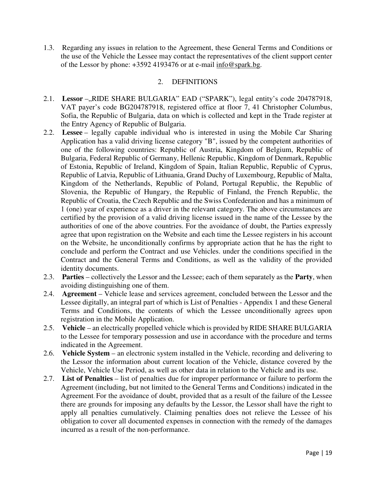1.3. Regarding any issues in relation to the Agreement, these General Terms and Conditions or the use of the Vehicle the Lessee may contact the representatives of the client support center of the Lessor by phone: +3592 4193476 or at e-mail info@spark.bg.

# 2. DEFINITIONS

- 2.1. **Lessor** –,,RIDE SHARE BULGARIA" EAD ("SPARK"), legal entity's code 204787918, VAT payer's code BG204787918, registered office at floor 7, 41 Christopher Columbus, Sofia, the Republic of Bulgaria, data on which is collected and kept in the Trade register at the Entry Agency of Republic of Bulgaria.
- 2.2. **Lessee** legally capable individual who is interested in using the Mobile Car Sharing Application has a valid driving license category "B", issued by the competent authorities of one of the following countries: Republic of Austria, Kingdom of Belgium, Republic of Bulgaria, Federal Republic of Germany, Hellenic Republic, Kingdom of Denmark, Republic of Estonia, Republic of Ireland, Kingdom of Spain, Italian Republic, Republic of Cyprus, Republic of Latvia, Republic of Lithuania, Grand Duchy of Luxembourg, Republic of Malta, Kingdom of the Netherlands, Republic of Poland, Portugal Republic, the Republic of Slovenia, the Republic of Hungary, the Republic of Finland, the French Republic, the Republic of Croatia, the Czech Republic and the Swiss Confederation and has a minimum of 1 (one) year of experience as a driver in the relevant category. The above circumstances are certified by the provision of a valid driving license issued in the name of the Lessee by the authorities of one of the above countries. For the avoidance of doubt, the Parties expressly agree that upon registration on the Website and each time the Lessee registers in his account on the Website, he unconditionally confirms by appropriate action that he has the right to conclude and perform the Contract and use Vehicles. under the conditions specified in the Contract and the General Terms and Conditions, as well as the validity of the provided identity documents.
- 2.3. **Parties** collectively the Lessor and the Lessee; each of them separately as the **Party**, when avoiding distinguishing one of them.
- 2.4. **Agreement** Vehicle lease and services agreement, concluded between the Lessor and the Lessee digitally, an integral part of which is List of Penalties - Appendix 1 and these General Terms and Conditions, the contents of which the Lessee unconditionally agrees upon registration in the Mobile Application.
- 2.5. **Vehicle** an electrically propelled vehicle which is provided by RIDE SHARE BULGARIA to the Lessee for temporary possession and use in accordance with the procedure and terms indicated in the Agreement.
- 2.6. **Vehicle System** an electronic system installed in the Vehicle, recording and delivering to the Lessor the information about current location of the Vehicle, distance covered by the Vehicle, Vehicle Use Period, as well as other data in relation to the Vehicle and its use.
- 2.7. **List of Penalties** list of penalties due for improper performance or failure to perform the Agreement (including, but not limited to the General Terms and Conditions) indicated in the Agreement. For the avoidance of doubt, provided that as a result of the failure of the Lessee there are grounds for imposing any defaults by the Lessor, the Lessor shall have the right to apply all penalties cumulatively. Claiming penalties does not relieve the Lessee of his obligation to cover all documented expenses in connection with the remedy of the damages incurred as a result of the non-performance.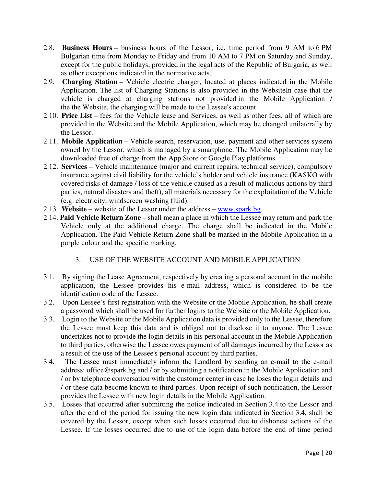- 2.8. **Business Hours** business hours of the Lessor, i.e. time period from 9 AM to 6 PM Bulgarian time from Monday to Friday and from 10 AM to 7 PM on Saturday and Sunday, except for the public holidays, provided in the legal acts of the Republic of Bulgaria, as well as other exceptions indicated in the normative acts.
- 2.9. **Charging Station** Vehicle electric charger, located at places indicated in the Mobile Application. The list of Charging Stations is also provided in the WebsiteIn case that the vehicle is charged at charging stations not provided in the Mobile Application / the the Website, the charging will be made to the Lessee's account.
- 2.10. **Price List**  fees for the Vehicle lease and Services, as well as other fees, all of which are provided in the Website and the Mobile Application, which may be changed unilaterally by the Lessor.
- 2.11. **Mobile Application** Vehicle search, reservation, use, payment and other services system owned by the Lessor, which is managed by a smartphone. The Mobile Application may be downloaded free of charge from the App Store or Google Play platforms.
- 2.12. **Services** Vehicle maintenance (major and current repairs, technical service), compulsory insurance against civil liability for the vehicle's holder and vehicle insurance (KASKO with covered risks of damage / loss of the vehicle caused as a result of malicious actions by third parties, natural disasters and theft), all materials necessary for the exploitation of the Vehicle (e.g. electricity, windscreen washing fluid).
- 2.13. **Website** website of the Lessor under the address www.spark.bg.
- 2.14. **Paid Vehicle Return Zone** shall mean a place in which the Lessee may return and park the Vehicle only at the additional charge. The charge shall be indicated in the Mobile Application. The Paid Vehicle Return Zone shall be marked in the Mobile Application in a purple colour and the specific marking.

# 3. USE OF THE WEBSITE ACCOUNT AND MOBILE APPLICATION

- 3.1. By signing the Lease Agreement, respectively by creating a personal account in the mobile application, the Lessee provides his e-mail address, which is considered to be the identification code of the Lessee.
- 3.2. Upon Lessee's first registration with the Website or the Mobile Application, he shall create a password which shall be used for further logins to the Website or the Mobile Application.
- 3.3. Login to the Website or the Mobile Application data is provided only to the Lessee, therefore the Lessee must keep this data and is obliged not to disclose it to anyone. The Lessee undertakes not to provide the login details in his personal account in the Mobile Application to third parties, otherwise the Lessee owes payment of all damages incurred by the Lessor as a result of the use of the Lessee's personal account by third parties.
- 3.4. The Lessee must immediately inform the Landlord by sending an e-mail to the e-mail address: office@spark.bg and / or by submitting a notification in the Mobile Application and / or by telephone conversation with the customer center in case he loses the login details and / or these data become known to third parties. Upon receipt of such notification, the Lessor provides the Lessee with new login details in the Mobile Application.
- 3.5. Losses that occurred after submitting the notice indicated in Section 3.4 to the Lessor and after the end of the period for issuing the new login data indicated in Section 3.4, shall be covered by the Lessor, except when such losses occurred due to dishonest actions of the Lessee. If the losses occurred due to use of the login data before the end of time period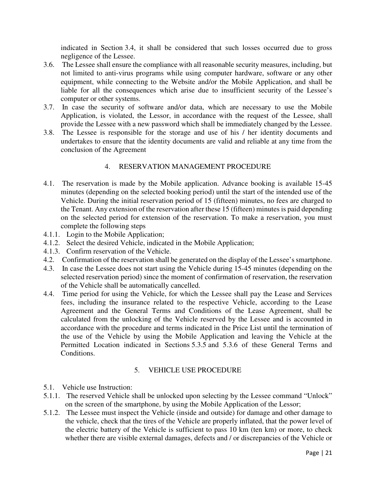indicated in Section 3.4, it shall be considered that such losses occurred due to gross negligence of the Lessee.

- 3.6. The Lessee shall ensure the compliance with all reasonable security measures, including, but not limited to anti-virus programs while using computer hardware, software or any other equipment, while connecting to the Website and/or the Mobile Application, and shall be liable for all the consequences which arise due to insufficient security of the Lessee's computer or other systems.
- 3.7. In case the security of software and/or data, which are necessary to use the Mobile Application, is violated, the Lessor, in accordance with the request of the Lessee, shall provide the Lessee with a new password which shall be immediately changed by the Lessee.
- 3.8. The Lessee is responsible for the storage and use of his / her identity documents and undertakes to ensure that the identity documents are valid and reliable at any time from the conclusion of the Agreement

# 4. RESERVATION MANAGEMENT PROCEDURE

- 4.1. The reservation is made by the Mobile application. Advance booking is available 15-45 minutes (depending on the selected booking period) until the start of the intended use of the Vehicle. During the initial reservation period of 15 (fifteen) minutes, no fees are charged to the Tenant. Any extension of the reservation after these 15 (fifteen) minutes is paid depending on the selected period for extension of the reservation. To make a reservation, you must complete the following steps
- 4.1.1. Login to the Mobile Application;
- 4.1.2. Select the desired Vehicle, indicated in the Mobile Application;
- 4.1.3. Confirm reservation of the Vehicle.
- 4.2. Confirmation of the reservation shall be generated on the display of the Lessee's smartphone.
- 4.3. In case the Lessee does not start using the Vehicle during 15-45 minutes (depending on the selected reservation period) since the moment of confirmation of reservation, the reservation of the Vehicle shall be automatically cancelled.
- 4.4. Time period for using the Vehicle, for which the Lessee shall pay the Lease and Services fees, including the insurance related to the respective Vehicle, according to the Lease Agreement and the General Terms and Conditions of the Lease Agreement, shall be calculated from the unlocking of the Vehicle reserved by the Lessee and is accounted in accordance with the procedure and terms indicated in the Price List until the termination of the use of the Vehicle by using the Mobile Application and leaving the Vehicle at the Permitted Location indicated in Sections 5.3.5 and 5.3.6 of these General Terms and Conditions.

# 5. VEHICLE USE PROCEDURE

- 5.1. Vehicle use Instruction:
- 5.1.1. The reserved Vehicle shall be unlocked upon selecting by the Lessee command "Unlock" on the screen of the smartphone, by using the Mobile Application of the Lessor;
- 5.1.2. The Lessee must inspect the Vehicle (inside and outside) for damage and other damage to the vehicle, check that the tires of the Vehicle are properly inflated, that the power level of the electric battery of the Vehicle is sufficient to pass 10 km (ten km) or more, to check whether there are visible external damages, defects and / or discrepancies of the Vehicle or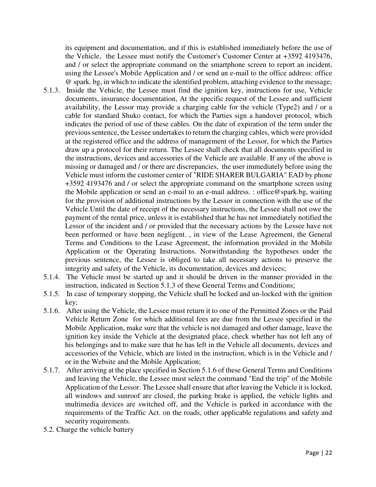its equipment and documentation, and if this is established immediately before the use of the Vehicle, the Lessee must notify the Customer's Customer Center at +3592 4193476, and / or select the appropriate command on the smartphone screen to report an incident, using the Lessee's Mobile Application and / or send an e-mail to the office address: office @ spark. bg, in which to indicate the identified problem, attaching evidence to the message;

- 5.1.3. Inside the Vehicle, the Lessee must find the ignition key, instructions for use, Vehicle documents, insurance documentation, At the specific request of the Lessee and sufficient availability, the Lessor may provide a charging cable for the vehicle (Type2) and / or a cable for standard Shuko contact, for which the Parties sign a handover protocol, which indicates the period of use of these cables. On the date of expiration of the term under the previous sentence, the Lessee undertakes to return the charging cables, which were provided at the registered office and the address of management of the Lessor, for which the Parties draw up a protocol for their return. The Lessee shall check that all documents specified in the instructions, devices and accessories of the Vehicle are available. If any of the above is missing or damaged and / or there are discrepancies, the user immediately before using the Vehicle must inform the customer center of "RIDE SHARER BULGARIA" EAD by phone +3592 4193476 and / or select the appropriate command on the smartphone screen using the Mobile application or send an e-mail to an e-mail address. : office@spark.bg, waiting for the provision of additional instructions by the Lessor in connection with the use of the Vehicle.Until the date of receipt of the necessary instructions, the Lessee shall not owe the payment of the rental price, unless it is established that he has not immediately notified the Lessor of the incident and / or provided that the necessary actions by the Lessee have not been performed or have been negligent. , in view of the Lease Agreement, the General Terms and Conditions to the Lease Agreement, the information provided in the Mobile Application or the Operating Instructions. Notwithstanding the hypotheses under the previous sentence, the Lessee is obliged to take all necessary actions to preserve the integrity and safety of the Vehicle, its documentation, devices and devices;
- 5.1.4. The Vehicle must be started up and it should be driven in the manner provided in the instruction, indicated in Section 5.1.3 of these General Terms and Conditions;
- 5.1.5. In case of temporary stopping, the Vehicle shall be locked and un-locked with the ignition key;
- 5.1.6. After using the Vehicle, the Lessee must return it to one of the Permitted Zones or the Paid Vehicle Return Zone for which additional fees are due from the Lessee specified in the Mobile Application, make sure that the vehicle is not damaged and other damage, leave the ignition key inside the Vehicle at the designated place, check whether has not left any of his belongings and to make sure that he has left in the Vehicle all documents, devices and accessories of the Vehicle, which are listed in the instruction, which is in the Vehicle and / or in the Website and the Mobile Application;
- 5.1.7. After arriving at the place specified in Section 5.1.6 of these General Terms and Conditions and leaving the Vehicle, the Lessee must select the command "End the trip" of the Mobile Application of the Lessor. The Lessee shall ensure that after leaving the Vehicle it is locked, all windows and sunroof are closed, the parking brake is applied, the vehicle lights and multimedia devices are switched off, and the Vehicle is parked in accordance with the requirements of the Traffic Act. on the roads, other applicable regulations and safety and security requirements.
- 5.2. Charge the vehicle battery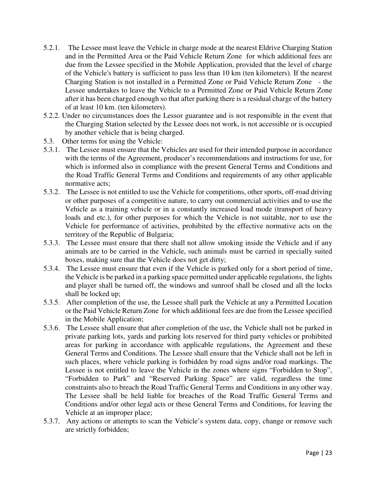- 5.2.1. The Lessee must leave the Vehicle in charge mode at the nearest Eldrive Charging Station and in the Permitted Area or the Paid Vehicle Return Zone for which additional fees are due from the Lessee specified in the Mobile Application, provided that the level of charge of the Vehicle's battery is sufficient to pass less than 10 km (ten kilometers). If the nearest Charging Station is not installed in a Permitted Zone or Paid Vehicle Return Zone - the Lessee undertakes to leave the Vehicle to a Permitted Zone or Paid Vehicle Return Zone after it has been charged enough so that after parking there is a residual charge of the battery of at least 10 km. (ten kilometers).
- 5.2.2. Under no circumstances does the Lessor guarantee and is not responsible in the event that the Charging Station selected by the Lessee does not work, is not accessible or is occupied by another vehicle that is being charged.
- 5.3. Other terms for using the Vehicle:
- 5.3.1. The Lessee must ensure that the Vehicles are used for their intended purpose in accordance with the terms of the Agreement, producer's recommendations and instructions for use, for which is informed also in compliance with the present General Terms and Conditions and the Road Traffic General Terms and Conditions and requirements of any other applicable normative acts;
- 5.3.2. The Lessee is not entitled to use the Vehicle for competitions, other sports, off-road driving or other purposes of a competitive nature, to carry out commercial activities and to use the Vehicle as a training vehicle or in a constantly increased load mode (transport of heavy loads and etc.), for other purposes for which the Vehicle is not suitable, nor to use the Vehicle for performance of activities, prohibited by the effective normative acts on the territory of the Republic of Bulgaria;
- 5.3.3. The Lessee must ensure that there shall not allow smoking inside the Vehicle and if any animals are to be carried in the Vehicle, such animals must be carried in specially suited boxes, making sure that the Vehicle does not get dirty;
- 5.3.4. The Lessee must ensure that even if the Vehicle is parked only for a short period of time, the Vehicle is be parked in a parking space permitted under applicable regulations, the lights and player shall be turned off, the windows and sunroof shall be closed and all the locks shall be locked up;
- 5.3.5. After completion of the use, the Lessee shall park the Vehicle at any a Permitted Location or the Paid Vehicle Return Zone for which additional fees are due from the Lessee specified in the Mobile Application;
- 5.3.6. The Lessee shall ensure that after completion of the use, the Vehicle shall not be parked in private parking lots, yards and parking lots reserved for third party vehicles or prohibited areas for parking in accordance with applicable regulations, the Agreement and these General Terms and Conditions. The Lessee shall ensure that the Vehicle shall not be left in such places, where vehicle parking is forbidden by road signs and/or road markings. The Lessee is not entitled to leave the Vehicle in the zones where signs "Forbidden to Stop", "Forbidden to Park" and "Reserved Parking Space" are valid, regardless the time constraints also to breach the Road Traffic General Terms and Conditions in any other way. The Lessee shall be held liable for breaches of the Road Traffic General Terms and Conditions and/or other legal acts or these General Terms and Conditions, for leaving the Vehicle at an improper place;
- 5.3.7. Any actions or attempts to scan the Vehicle's system data, copy, change or remove such are strictly forbidden;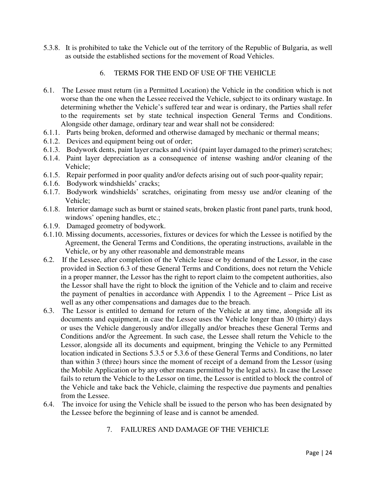5.3.8. It is prohibited to take the Vehicle out of the territory of the Republic of Bulgaria, as well as outside the established sections for the movement of Road Vehicles.

# 6. TERMS FOR THE END OF USE OF THE VEHICLE

- 6.1. The Lessee must return (in a Permitted Location) the Vehicle in the condition which is not worse than the one when the Lessee received the Vehicle, subject to its ordinary wastage. In determining whether the Vehicle's suffered tear and wear is ordinary, the Parties shall refer to the requirements set by state technical inspection General Terms and Conditions. Alongside other damage, ordinary tear and wear shall not be considered:
- 6.1.1. Parts being broken, deformed and otherwise damaged by mechanic or thermal means;
- 6.1.2. Devices and equipment being out of order;
- 6.1.3. Bodywork dents, paint layer cracks and vivid (paint layer damaged to the primer) scratches;
- 6.1.4. Paint layer depreciation as a consequence of intense washing and/or cleaning of the Vehicle;
- 6.1.5. Repair performed in poor quality and/or defects arising out of such poor-quality repair;
- 6.1.6. Bodywork windshields' cracks;
- 6.1.7. Bodywork windshields' scratches, originating from messy use and/or cleaning of the Vehicle;
- 6.1.8. Interior damage such as burnt or stained seats, broken plastic front panel parts, trunk hood, windows' opening handles, etc.;
- 6.1.9. Damaged geometry of bodywork.
- 6.1.10. Missing documents, accessories, fixtures or devices for which the Lessee is notified by the Agreement, the General Terms and Conditions, the operating instructions, available in the Vehicle, or by any other reasonable and demonstrable means
- 6.2. If the Lessee, after completion of the Vehicle lease or by demand of the Lessor, in the case provided in Section 6.3 of these General Terms and Conditions, does not return the Vehicle in a proper manner, the Lessor has the right to report claim to the competent authorities, also the Lessor shall have the right to block the ignition of the Vehicle and to claim and receive the payment of penalties in accordance with Appendix 1 to the Agreement – Price List as well as any other compensations and damages due to the breach.
- 6.3. The Lessor is entitled to demand for return of the Vehicle at any time, alongside all its documents and equipment, in case the Lessee uses the Vehicle longer than 30 (thirty) days or uses the Vehicle dangerously and/or illegally and/or breaches these General Terms and Conditions and/or the Agreement. In such case, the Lessee shall return the Vehicle to the Lessor, alongside all its documents and equipment, bringing the Vehicle to any Permitted location indicated in Sections 5.3.5 or 5.3.6 of these General Terms and Conditions, no later than within 3 (three) hours since the moment of receipt of a demand from the Lessor (using the Mobile Application or by any other means permitted by the legal acts). In case the Lessee fails to return the Vehicle to the Lessor on time, the Lessor is entitled to block the control of the Vehicle and take back the Vehicle, claiming the respective due payments and penalties from the Lessee.
- 6.4. The invoice for using the Vehicle shall be issued to the person who has been designated by the Lessee before the beginning of lease and is cannot be amended.

# 7. FAILURES AND DAMAGE OF THE VEHICLE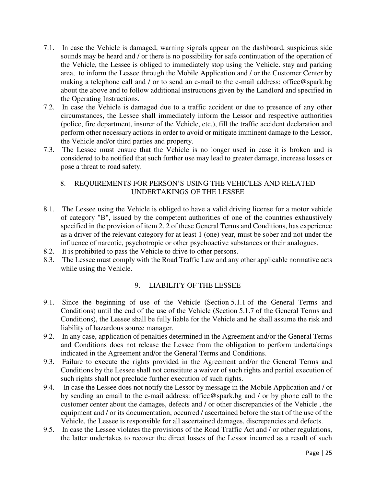- 7.1. In case the Vehicle is damaged, warning signals appear on the dashboard, suspicious side sounds may be heard and / or there is no possibility for safe continuation of the operation of the Vehicle, the Lessee is obliged to immediately stop using the Vehicle. stay and parking area, to inform the Lessee through the Mobile Application and / or the Customer Center by making a telephone call and / or to send an e-mail to the e-mail address: office@spark.bg about the above and to follow additional instructions given by the Landlord and specified in the Operating Instructions.
- 7.2. In case the Vehicle is damaged due to a traffic accident or due to presence of any other circumstances, the Lessee shall immediately inform the Lessor and respective authorities (police, fire department, insurer of the Vehicle, etc.), fill the traffic accident declaration and perform other necessary actions in order to avoid or mitigate imminent damage to the Lessor, the Vehicle and/or third parties and property.
- 7.3. The Lessee must ensure that the Vehicle is no longer used in case it is broken and is considered to be notified that such further use may lead to greater damage, increase losses or pose a threat to road safety.

# 8. REQUIREMENTS FOR PERSON'S USING THE VEHICLES AND RELATED UNDERTAKINGS OF THE LESSEE

- 8.1. The Lessee using the Vehicle is obliged to have a valid driving license for a motor vehicle of category "B", issued by the competent authorities of one of the countries exhaustively specified in the provision of item 2. 2 of these General Terms and Conditions, has experience as a driver of the relevant category for at least 1 (one) year, must be sober and not under the influence of narcotic, psychotropic or other psychoactive substances or their analogues.
- 8.2. It is prohibited to pass the Vehicle to drive to other persons.
- 8.3. The Lessee must comply with the Road Traffic Law and any other applicable normative acts while using the Vehicle.

# 9. LIABILITY OF THE LESSEE

- 9.1. Since the beginning of use of the Vehicle (Section 5.1.1 of the General Terms and Conditions) until the end of the use of the Vehicle (Section 5.1.7 of the General Terms and Conditions), the Lessee shall be fully liable for the Vehicle and he shall assume the risk and liability of hazardous source manager.
- 9.2. In any case, application of penalties determined in the Agreement and/or the General Terms and Conditions does not release the Lessee from the obligation to perform undertakings indicated in the Agreement and/or the General Terms and Conditions.
- 9.3. Failure to execute the rights provided in the Agreement and/or the General Terms and Conditions by the Lessee shall not constitute a waiver of such rights and partial execution of such rights shall not preclude further execution of such rights.
- 9.4. In case the Lessee does not notify the Lessor by message in the Mobile Application and / or by sending an email to the e-mail address: office@spark.bg and / or by phone call to the customer center about the damages, defects and / or other discrepancies of the Vehicle , the equipment and / or its documentation, occurred / ascertained before the start of the use of the Vehicle, the Lessee is responsible for all ascertained damages, discrepancies and defects.
- 9.5. In case the Lessee violates the provisions of the Road Traffic Act and / or other regulations, the latter undertakes to recover the direct losses of the Lessor incurred as a result of such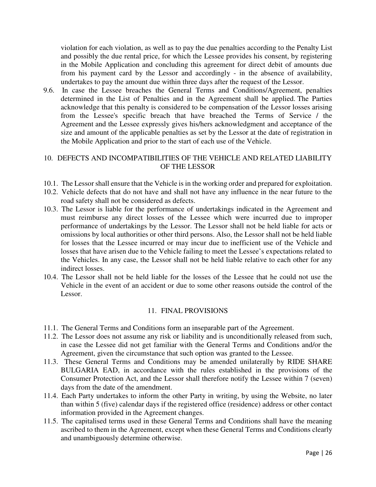violation for each violation, as well as to pay the due penalties according to the Penalty List and possibly the due rental price, for which the Lessee provides his consent, by registering in the Mobile Application and concluding this agreement for direct debit of amounts due from his payment card by the Lessor and accordingly - in the absence of availability, undertakes to pay the amount due within three days after the request of the Lessor.

9.6. In case the Lessee breaches the General Terms and Conditions/Agreement, penalties determined in the List of Penalties and in the Agreement shall be applied. The Parties acknowledge that this penalty is considered to be compensation of the Lessor losses arising from the Lessee's specific breach that have breached the Terms of Service / the Agreement and the Lessee expressly gives his/hers acknowledgment and acceptance of the size and amount of the applicable penalties as set by the Lessor at the date of registration in the Mobile Application and prior to the start of each use of the Vehicle.

#### 10. DEFECTS AND INCOMPATIBILITIES OF THE VEHICLE AND RELATED LIABILITY OF THE LESSOR

- 10.1. The Lessor shall ensure that the Vehicle is in the working order and prepared for exploitation.
- 10.2. Vehicle defects that do not have and shall not have any influence in the near future to the road safety shall not be considered as defects.
- 10.3. The Lessor is liable for the performance of undertakings indicated in the Agreement and must reimburse any direct losses of the Lessee which were incurred due to improper performance of undertakings by the Lessor. The Lessor shall not be held liable for acts or omissions by local authorities or other third persons. Also, the Lessor shall not be held liable for losses that the Lessee incurred or may incur due to inefficient use of the Vehicle and losses that have arisen due to the Vehicle failing to meet the Lessee's expectations related to the Vehicles. In any case, the Lessor shall not be held liable relative to each other for any indirect losses.
- 10.4. The Lessor shall not be held liable for the losses of the Lessee that he could not use the Vehicle in the event of an accident or due to some other reasons outside the control of the Lessor.

#### 11. FINAL PROVISIONS

- 11.1. The General Terms and Conditions form an inseparable part of the Agreement.
- 11.2. The Lessor does not assume any risk or liability and is unconditionally released from such, in case the Lessee did not get familiar with the General Terms and Conditions and/or the Agreement, given the circumstance that such option was granted to the Lessee.
- 11.3. These General Terms and Conditions may be amended unilaterally by RIDE SHARE BULGARIA EAD, in accordance with the rules established in the provisions of the Consumer Protection Act, and the Lessor shall therefore notify the Lessee within 7 (seven) days from the date of the amendment.
- 11.4. Each Party undertakes to inform the other Party in writing, by using the Website, no later than within 5 (five) calendar days if the registered office (residence) address or other contact information provided in the Agreement changes.
- 11.5. The capitalised terms used in these General Terms and Conditions shall have the meaning ascribed to them in the Agreement, except when these General Terms and Conditions clearly and unambiguously determine otherwise.